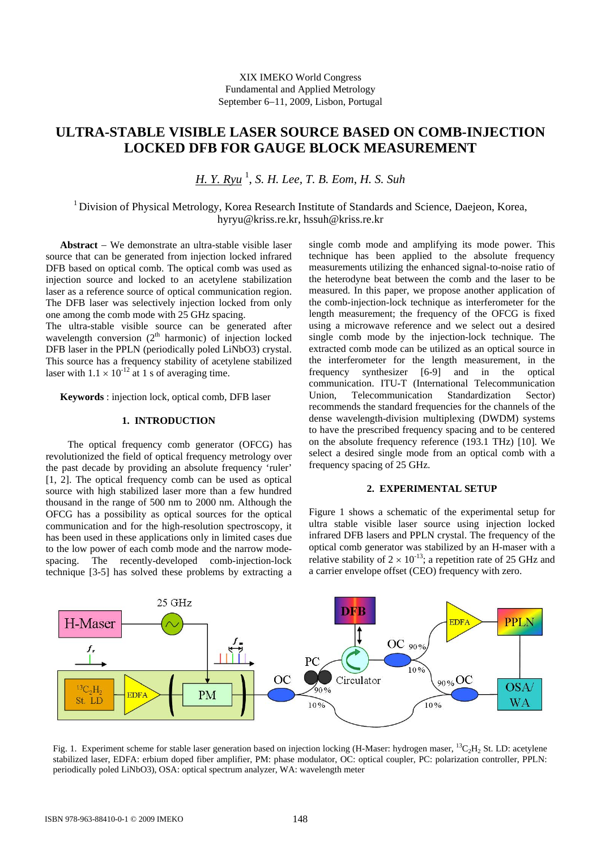# **ULTRA-STABLE VISIBLE LASER SOURCE BASED ON COMB-INJECTION LOCKED DFB FOR GAUGE BLOCK MEASUREMENT**

*H. Y. Ryu* <sup>1</sup> , *S. H. Lee, T. B. Eom*, *H. S. Suh* 

<sup>1</sup> Division of Physical Metrology, Korea Research Institute of Standards and Science, Daejeon, Korea, hyryu@kriss.re.kr, hssuh@kriss.re.kr

**Abstract** − We demonstrate an ultra-stable visible laser source that can be generated from injection locked infrared DFB based on optical comb. The optical comb was used as injection source and locked to an acetylene stabilization laser as a reference source of optical communication region. The DFB laser was selectively injection locked from only one among the comb mode with 25 GHz spacing.

The ultra-stable visible source can be generated after wavelength conversion  $(2<sup>th</sup> harmonic)$  of injection locked DFB laser in the PPLN (periodically poled LiNbO3) crystal. This source has a frequency stability of acetylene stabilized laser with  $1.1 \times 10^{-12}$  at 1 s of averaging time.

**Keywords** : injection lock, optical comb, DFB laser

### **1. INTRODUCTION**

 The optical frequency comb generator (OFCG) has revolutionized the field of optical frequency metrology over the past decade by providing an absolute frequency 'ruler' [1, 2]. The optical frequency comb can be used as optical source with high stabilized laser more than a few hundred thousand in the range of 500 nm to 2000 nm. Although the OFCG has a possibility as optical sources for the optical communication and for the high-resolution spectroscopy, it has been used in these applications only in limited cases due to the low power of each comb mode and the narrow modespacing. The recently-developed comb-injection-lock technique [3-5] has solved these problems by extracting a

single comb mode and amplifying its mode power. This technique has been applied to the absolute frequency measurements utilizing the enhanced signal-to-noise ratio of the heterodyne beat between the comb and the laser to be measured. In this paper, we propose another application of the comb-injection-lock technique as interferometer for the length measurement; the frequency of the OFCG is fixed using a microwave reference and we select out a desired single comb mode by the injection-lock technique. The extracted comb mode can be utilized as an optical source in the interferometer for the length measurement, in the frequency synthesizer [6-9] and in the optical communication. ITU-T (International Telecommunication Union, Telecommunication Standardization Sector) recommends the standard frequencies for the channels of the dense wavelength-division multiplexing (DWDM) systems to have the prescribed frequency spacing and to be centered on the absolute frequency reference (193.1 THz) [10]. We select a desired single mode from an optical comb with a frequency spacing of 25 GHz.

## **2. EXPERIMENTAL SETUP**

Figure 1 shows a schematic of the experimental setup for ultra stable visible laser source using injection locked infrared DFB lasers and PPLN crystal. The frequency of the optical comb generator was stabilized by an H-maser with a relative stability of  $2 \times 10^{-13}$ ; a repetition rate of 25 GHz and a carrier envelope offset (CEO) frequency with zero.



Fig. 1. Experiment scheme for stable laser generation based on injection locking (H-Maser: hydrogen maser, <sup>13</sup>C<sub>2</sub>H<sub>2</sub> St. LD: acetylene stabilized laser, EDFA: erbium doped fiber amplifier, PM: phase modulator, OC: optical coupler, PC: polarization controller, PPLN: periodically poled LiNbO3), OSA: optical spectrum analyzer, WA: wavelength meter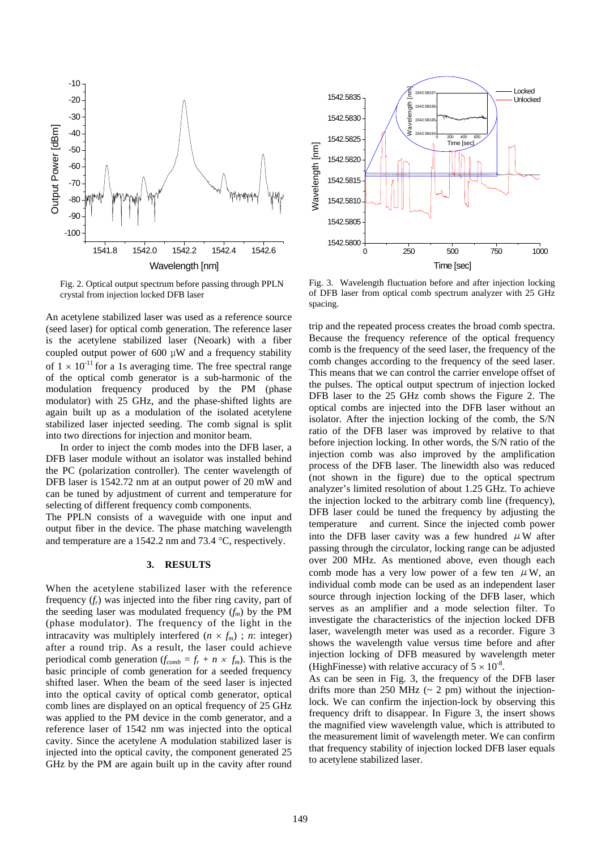

Fig. 2. Optical output spectrum before passing through PPLN crystal from injection locked DFB laser

An acetylene stabilized laser was used as a reference source (seed laser) for optical comb generation. The reference laser is the acetylene stabilized laser (Neoark) with a fiber coupled output power of 600 μW and a frequency stability of  $1 \times 10^{-11}$  for a 1s averaging time. The free spectral range of the optical comb generator is a sub-harmonic of the modulation frequency produced by the PM (phase modulator) with 25 GHz, and the phase-shifted lights are again built up as a modulation of the isolated acetylene stabilized laser injected seeding. The comb signal is split into two directions for injection and monitor beam.

In order to inject the comb modes into the DFB laser, a DFB laser module without an isolator was installed behind the PC (polarization controller). The center wavelength of DFB laser is 1542.72 nm at an output power of 20 mW and can be tuned by adjustment of current and temperature for selecting of different frequency comb components.

The PPLN consists of a waveguide with one input and output fiber in the device. The phase matching wavelength and temperature are a 1542.2 nm and 73.4 °C, respectively.

#### **3. RESULTS**

When the acetylene stabilized laser with the reference frequency  $(f_r)$  was injected into the fiber ring cavity, part of the seeding laser was modulated frequency  $(f_m)$  by the PM (phase modulator). The frequency of the light in the intracavity was multiplely interfered  $(n \times f_m)$ ; *n*: integer) after a round trip. As a result, the laser could achieve periodical comb generation ( $f_{comb} = f_r + n \times f_m$ ). This is the basic principle of comb generation for a seeded frequency shifted laser. When the beam of the seed laser is injected into the optical cavity of optical comb generator, optical comb lines are displayed on an optical frequency of 25 GHz was applied to the PM device in the comb generator, and a reference laser of 1542 nm was injected into the optical cavity. Since the acetylene A modulation stabilized laser is injected into the optical cavity, the component generated 25 GHz by the PM are again built up in the cavity after round



Fig. 3. Wavelength fluctuation before and after injection locking of DFB laser from optical comb spectrum analyzer with 25 GHz spacing.

trip and the repeated process creates the broad comb spectra. Because the frequency reference of the optical frequency comb is the frequency of the seed laser, the frequency of the comb changes according to the frequency of the seed laser. This means that we can control the carrier envelope offset of the pulses. The optical output spectrum of injection locked DFB laser to the 25 GHz comb shows the Figure 2. The optical combs are injected into the DFB laser without an isolator. After the injection locking of the comb, the S/N ratio of the DFB laser was improved by relative to that before injection locking. In other words, the S/N ratio of the injection comb was also improved by the amplification process of the DFB laser. The linewidth also was reduced (not shown in the figure) due to the optical spectrum analyzer's limited resolution of about 1.25 GHz. To achieve the injection locked to the arbitrary comb line (frequency), DFB laser could be tuned the frequency by adjusting the temperature and current. Since the injected comb power into the DFB laser cavity was a few hundred  $\mu$ W after passing through the circulator, locking range can be adjusted over 200 MHz. As mentioned above, even though each comb mode has a very low power of a few ten  $\mu$ W, an individual comb mode can be used as an independent laser source through injection locking of the DFB laser, which serves as an amplifier and a mode selection filter. To investigate the characteristics of the injection locked DFB laser, wavelength meter was used as a recorder. Figure 3 shows the wavelength value versus time before and after injection locking of DFB measured by wavelength meter (HighFinesse) with relative accuracy of  $5 \times 10^{-8}$ .

As can be seen in Fig. 3, the frequency of the DFB laser drifts more than 250 MHz  $(\sim 2 \text{ pm})$  without the injectionlock. We can confirm the injection-lock by observing this frequency drift to disappear. In Figure 3, the insert shows the magnified view wavelength value, which is attributed to the measurement limit of wavelength meter. We can confirm that frequency stability of injection locked DFB laser equals to acetylene stabilized laser.